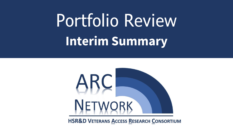# Portfolio Review **Interim Summary**



**HSR&D VETERANS ACCESS RESEARCH CONSORTIUM**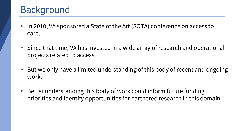### Background

- In 2010, VA sponsored a State of the Art (SOTA) conference on access to care.
- Since that time, VA has invested in a wide array of research and operational projects related to access.
- But we only have a limited understanding of this body of recent and ongoing work.
- Better understanding this body of work could inform future funding priorities and identify opportunities for partnered research in this domain.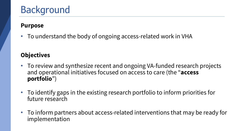## Background

#### **Purpose**

• To understand the body of ongoing access-related work in VHA

#### **Objectives**

- To review and synthesize recent and ongoing VA-funded research projects and operational initiatives focused on access to care (the "**access portfolio**")
- To identify gaps in the existing research portfolio to inform priorities for future research
- To inform partners about access-related interventions that may be ready for implementation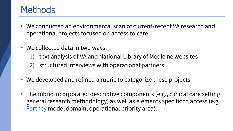### **Methods**

- We conducted an environmental scan of current/recent VA research and operational projects focused on access to care.
- We collected data in two ways:
	- 1) text analysis of VA and National Library of Medicine websites
	- 2) structured interviews with operational partners
- We developed and refined a rubric to categorize these projects.
- The rubric incorporated descriptive components (e.g., clinical care setting, general research methodology) as well as elements specific to access (e.g., [Fortney](about:blank) model domain, operational priority area).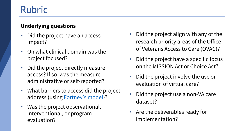### Rubric

#### **Underlying questions**

- Did the project have an access impact?
- On what clinical domain was the project focused?
- Did the project directly measure access? If so, was the measure administrative or self-reported?
- What barriers to access did the project address (using **Fortney's model**)?
- Was the project observational, interventional, or program evaluation?
- Did the project align with any of the research priority areas of the Office of Veterans Access to Care (OVAC)?
- Did the project have a specific focus on the MISSION Act or Choice Act?
- Did the project involve the use or evaluation of virtual care?
- Did the project use a non-VA care dataset?
- Are the deliverables ready for implementation?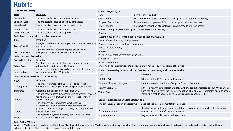### Rubric

| <b>Code 1: Care Setting</b>                      |                                                                                                                           | Code 5: Projec                         |
|--------------------------------------------------|---------------------------------------------------------------------------------------------------------------------------|----------------------------------------|
| <b>Type</b>                                      | Definition                                                                                                                | <b>Type</b>                            |
| <b>Primary Care</b>                              | The project is focused on primary care access                                                                             | Observational                          |
| <b>Specialty Care</b>                            | The project is focused on specialty care access                                                                           | Program Evalu                          |
| <b>Mental Health</b>                             | The project is focused on mental health access                                                                            | Interventional                         |
| <b>Inpatient Care</b>                            | The project is focused on inpatient care                                                                                  | Code 6: OVAC                           |
| Long-term care                                   | The project is focused on long-term care                                                                                  | Priority                               |
| Code 2: Access specific versus Access relevant   |                                                                                                                           | System redesig                         |
| <b>Type</b>                                      | <b>Definition</b>                                                                                                         | Overuse/low-v                          |
| <b>Access Specific</b>                           | A project that has an access impact and measures actual or<br>perceived access                                            | Prioritization/u<br>Virtual care/te    |
| <b>Access Relevant</b>                           | A project that has an access impact, but does not<br>incorporate specific measurements of access                          | <b>Burnout</b>                         |
| <b>Code 3: Access Distinction</b>                |                                                                                                                           | Workforce sati                         |
| <b>Access Distinction</b>                        | Definition                                                                                                                | <b>Clinical Operat</b>                 |
| <b>Actual Access</b>                             | The direct measurement of access, usually through<br>administrative data (i.e., EHR, GIS, etc.)                           | <b>Access measur</b><br>Improving pati |
| <b>Perceived Access</b>                          | The measurement of perceived access, typically through<br>self-report (e.g., SHEP, V-Signals)                             | Code 7: Comm                           |
| <b>Code 4: Fortney Model Classification Tags</b> | <u>Type</u>                                                                                                               |                                        |
| Tag(s)                                           | Definition                                                                                                                | <b>MISSION Act</b>                     |
| Geographical                                     | The primary purpose of the project is to address the<br>difficulties of traveling to healthcare provider locations.       | Veterans Choic                         |
|                                                  |                                                                                                                           | Non-VA Care/D                          |
| Temporal                                         | Wait time due to appointment availability.                                                                                |                                        |
|                                                  | The project evaluates the acceptability of health services in<br>terms of comfort with, trust in, or preference for their | <b>Virtual Care</b>                    |
| Cultural                                         | medical provider.                                                                                                         | Code 8: Imple                          |
|                                                  | The connectivity that enables synchronous or<br>asynchronous digital communications with formal                           | Implementatic                          |
| Digital                                          | providers, informal caregivers, peers, and computerized<br>health applications                                            | Pre-Implemen                           |
| Financial                                        | The healthcare system eligibility issues and the cost of<br>utilizing healthcare services                                 | Implementatic                          |

| <b>Code 5: Project Type</b>                                      |                                                                                                                                                           |  |
|------------------------------------------------------------------|-----------------------------------------------------------------------------------------------------------------------------------------------------------|--|
| <u>Type</u>                                                      | <b>Overall Grant Product</b>                                                                                                                              |  |
| Observational                                                    | Secondary data analysis, mixed methods, qualitative methods, modeling                                                                                     |  |
| <b>Program Evaluation</b>                                        | Evaluation of a programmatic initiative designed to improve access                                                                                        |  |
| Interventional                                                   | Prospective evaluation of an intervention designed to improve access                                                                                      |  |
| Code 6: OVAC priorities (select primary and secondary themes)    |                                                                                                                                                           |  |
| <b>Priority</b>                                                  |                                                                                                                                                           |  |
| System redesign (PACT integration, clinical delegation, MISSION) |                                                                                                                                                           |  |
| Overuse/low-value care/appropriateness                           |                                                                                                                                                           |  |
| Prioritization/urgency/wait list management                      |                                                                                                                                                           |  |
| Virtual care/technology                                          |                                                                                                                                                           |  |
| <b>Burnout</b>                                                   |                                                                                                                                                           |  |
| Workforce satisfaction/retention/expansion                       |                                                                                                                                                           |  |
| <b>Clinical Operations</b>                                       |                                                                                                                                                           |  |
| Access measurement                                               |                                                                                                                                                           |  |
|                                                                  | Improving patient satisfaction/experience (must have product to address satisfaction)                                                                     |  |
|                                                                  | Code 7: Community Care and Virtual Care Focus (select one, both, or note neither)                                                                         |  |
| <u>Type</u>                                                      | <b>Definition</b>                                                                                                                                         |  |
| <b>MISSION Act</b>                                               | Is there a MISSION Act focus to the project?                                                                                                              |  |
| Veterans Choice Act/Program                                      | Is there a Veterans Choice Act/Program focus to the project?                                                                                              |  |
| Non-VA Care/Data                                                 | Is there a non-VA care dataset affiliated with the project unrelated to MISSION or Choice?                                                                |  |
| <b>Virtual Care</b>                                              | Does the study involve the use or evaluation of virtual care programs such as secure<br>messaging, mobile apps, telehealth, virtual video connect, etc.)? |  |
| Code 8: Implementation Status (select one)                       |                                                                                                                                                           |  |
| Implementation not part of objectives                            | Does not address implementation in objectives                                                                                                             |  |
| Pre-Implementation                                               | The stage prior to the main implementation - this can include small implementation<br>pilots or demonstration/feasibility projects.                       |  |
| Implementation                                                   | Stage at which implementation has occurred                                                                                                                |  |

#### **Code 9: Non-VA data**

What non-VA data were considered and/or utilized? Distinguish between (a) non-VA data available through the VA such as community care, CMS data linked to Veterans, fee-basis, and (b) data obtained by an external entity (e.g., Blue Cross, Kaiser, University hospital system, etc.)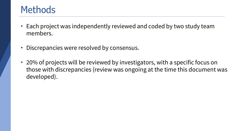### **Methods**

- Each project was independently reviewed and coded by two study team members.
- Discrepancies were resolved by consensus.
- 20% of projects will be reviewed by investigators, with a specific focus on those with discrepancies (review was ongoing at the time this document was developed).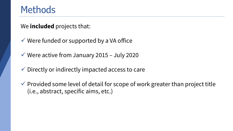### **Methods**

We **included** projects that:

- $\checkmark$  Were funded or supported by a VA office
- $\checkmark$  Were active from January 2015 July 2020
- $\checkmark$  Directly or indirectly impacted access to care
- $\checkmark$  Provided some level of detail for scope of work greater than project title (i.e., abstract, specific aims, etc.)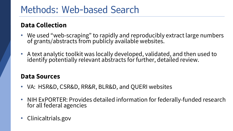### Methods: Web-based Search

#### **Data Collection**

- We used "web-scraping" to rapidly and reproducibly extract large numbers of grants/abstracts from publicly available websites.
- A text analytic toolkit was locally developed, validated, and then used to identify potentially relevant abstracts for further, detailed review.

#### **Data Sources**

- VA: HSR&D, CSR&D, RR&R, BLR&D, and QUERI websites
- NIH ExPORTER: Provides detailed information for federally-funded research for all federal agencies
- Clinicaltrials.gov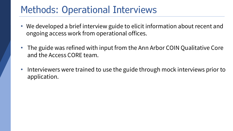### Methods: Operational Interviews

- We developed a brief interview guide to elicit information about recent and ongoing access work from operational offices.
- The guide was refined with input from the Ann Arbor COIN Qualitative Core and the Access CORE team.
- Interviewers were trained to use the guide through mock interviews prior to application.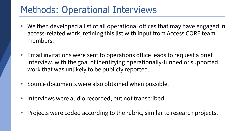### Methods: Operational Interviews

- We then developed a list of all operational offices that may have engaged in access-related work, refining this list with input from Access CORE team members.
- Email invitations were sent to operations office leads to request a brief interview, with the goal of identifying operationally-funded or supported work that was unlikely to be publicly reported.
- Source documents were also obtained when possible.
- Interviews were audio recorded, but not transcribed.
- Projects were coded according to the rubric, similar to research projects.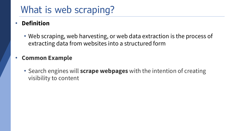### What is web scraping?

#### • **Definition**

• Web scraping, web harvesting, or web data extraction is the process of extracting data from websites into a structured form

#### • **Common Example**

• Search engines will **scrape webpages** with the intention of creating visibility to content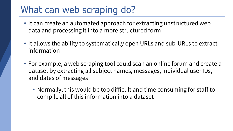### What can web scraping do?

- It can create an automated approach for extracting unstructured web data and processing it into a more structured form
- It allows the ability to systematically open URLs and sub-URLs to extract information
- For example, a web scraping tool could scan an online forum and create a dataset by extracting all subject names, messages, individual user IDs, and dates of messages
	- Normally, this would be too difficult and time consuming for staff to compile all of this information into a dataset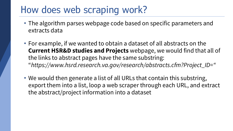### How does web scraping work?

- The algorithm parses webpage code based on specific parameters and extracts data
- For example, if we wanted to obtain a dataset of all abstracts on the **Current HSR&D studies and Projects** webpage, we would find that all of the links to abstract pages have the same substring: "*https://www.hsrd.research.va.gov/research/abstracts.cfm?Project\_ID="*
- We would then generate a list of all URLs that contain this substring, export them into a list, loop a web scraper through each URL, and extract the abstract/project information into a dataset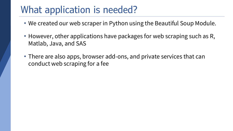### What application is needed?

- We created our web scraper in Python using the Beautiful Soup Module.
- However, other applications have packages for web scraping such as R, Matlab, Java, and SAS
- There are also apps, browser add-ons, and private services that can conduct web scraping for a fee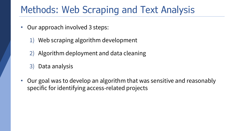### Methods: Web Scraping and Text Analysis

- Our approach involved 3 steps:
	- 1) Web scraping algorithm development
	- 2) Algorithm deployment and data cleaning
	- 3) Data analysis
- Our goal was to develop an algorithm that was sensitive and reasonably specific for identifying access-related projects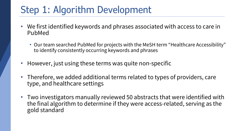### Step 1: Algorithm Development

- We first identified keywords and phrases associated with access to care in PubMed
	- Our team searched PubMed for projects with the MeSH term "Healthcare Accessibility" to identify consistently occurring keywords and phrases
- However, just using these terms was quite non-specific
- Therefore, we added additional terms related to types of providers, care type, and healthcare settings
- Two investigators manually reviewed 50 abstracts that were identified with the final algorithm to determine if they were access-related, serving as the gold standard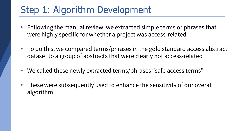### Step 1: Algorithm Development

- Following the manual review, we extracted simple terms or phrases that were highly specific for whether a project was access-related
- To do this, we compared terms/phrases in the gold standard access abstract dataset to a group of abstracts that were clearly not access-related
- We called these newly extracted terms/phrases "safe access terms"
- These were subsequently used to enhance the sensitivity of our overall algorithm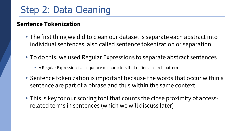#### **Sentence Tokenization**

- The first thing we did to clean our dataset is separate each abstract into individual sentences, also called sentence tokenization or separation
- To do this, we used Regular Expressions to separate abstract sentences
	- A Regular Expression is a sequence of characters that define a search pattern
- Sentence tokenization is important because the words that occur within a sentence are part of a phrase and thus within the same context
- This is key for our scoring tool that counts the close proximity of accessrelated terms in sentences (which we will discuss later)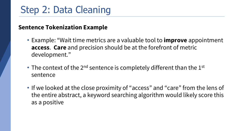#### **Sentence Tokenization Example**

- Example: "Wait time metrics are a valuable tool to **improve** appointment **access**. **Care** and precision should be at the forefront of metric development."
- The context of the  $2^{nd}$  sentence is completely different than the  $1^{st}$ sentence
- If we looked at the close proximity of "access" and "care" from the lens of the entire abstract, a keyword searching algorithm would likely score this as a positive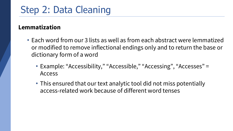#### **Lemmatization**

- Each word from our 3 lists as well as from each abstract were lemmatized or modified to remove inflectional endings only and to return the base or dictionary form of a word
	- Example: "Accessibility," "Accessible," "Accessing", "Accesses" = Access
	- This ensured that our text analytic tool did not miss potentially access-related work because of different word tenses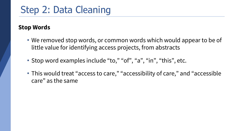#### **Stop Words**

- We removed stop words, or common words which would appear to be of little value for identifying access projects, from abstracts
- Stop word examples include "to," "of", "a", "in", "this", etc.
- This would treat "access to care," "accessibility of care," and "accessible care" as the same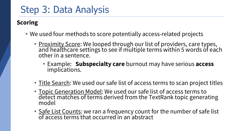### Step 3: Data Analysis

#### **Scoring**

- We used four methods to score potentially access-related projects
	- Proximity Score: We looped through our list of providers, care types, and healthcare settings to see if multiple terms within 5 words of each other in a sentence.
		- Example: **Subspecialty care** burnout may have serious **access** implications.
	- Title Search: We used our safe list of access terms to scan project titles
	- Topic Generation Model: We used our safe list of access terms to detect matches of terms derived from the TextRank topic generating model
	- Safe List Counts: we ran a frequency count for the number of safe list of access terms that occurred in an abstract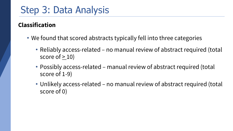### Step 3: Data Analysis

#### **Classification**

- We found that scored abstracts typically fell into three categories
	- Reliably access-related no manual review of abstract required (total score of  $> 10$ )
	- Possibly access-related manual review of abstract required (total score of 1-9)
	- Unlikely access-related no manual review of abstract required (total score of 0)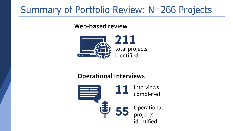### Summary of Portfolio Review: N=266 Projects

#### **Web-based review**



#### **Operational Interviews**

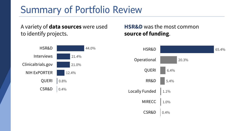### Summary of Portfolio Review

A variety of **data sources** were used to identify projects.

#### **HSR&D** was the most common **source of funding**.

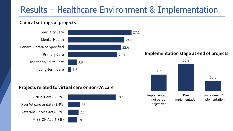### Results – Healthcare Environment & Implementation

#### **Clinical settings of projects**

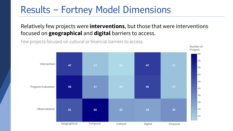### Results – Fortney Model Dimensions

#### Relatively few projects were **interventions**, but those that were interventions focused on **geographical** and **digital** barriers to access.



Few projects focused on cultural or financial barriers to access.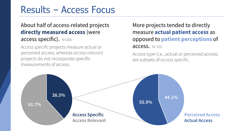### Results – Access Focus

#### About half of access-related projects **directly measured access** (were access specific). N=266

*Access specific* projects measure actual or perceived access, whereas *access relevant*  projects do not incorporate specific measurements of access.

More projects tended to directly measure **actual patient access** as opposed to **patient perceptions** of access. N=102

Access type (i.e., actual or perceived access) are subsets of *access specific*.

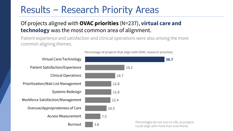### Results – Research Priority Areas

#### Of projects aligned with **OVAC priorities** (N=237), **virtual care and technology** was the most common area of alignment.

Patient experience and satisfaction and clinical operations were also among the more common aligning themes.

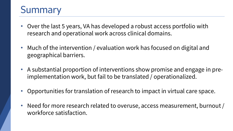### **Summary**

- Over the last 5 years, VA has developed a robust access portfolio with research and operational work across clinical domains.
- Much of the intervention / evaluation work has focused on digital and geographical barriers.
- A substantial proportion of interventions show promise and engage in preimplementation work, but fail to be translated / operationalized.
- Opportunities for translation of research to impact in virtual care space.
- Need for more research related to overuse, access measurement, burnout / workforce satisfaction.